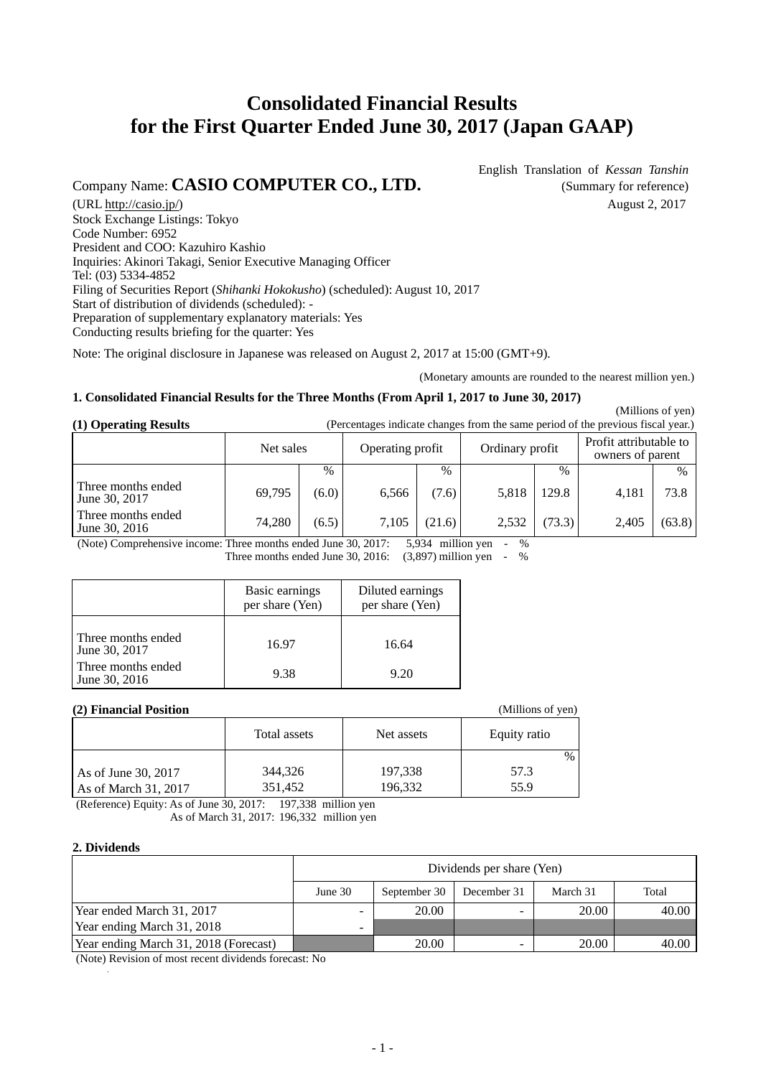# **Consolidated Financial Results for the First Quarter Ended June 30, 2017 (Japan GAAP)**

## Company Name: **CASIO COMPUTER CO., LTD.** (Summary for reference)

English Translation of *Kessan Tanshin*

(URL http://casio.jp/) August 2, 2017 Stock Exchange Listings: Tokyo Code Number: 6952 President and COO: Kazuhiro Kashio Inquiries: Akinori Takagi, Senior Executive Managing Officer Tel: (03) 5334-4852 Filing of Securities Report (*Shihanki Hokokusho*) (scheduled): August 10, 2017 Start of distribution of dividends (scheduled): - Preparation of supplementary explanatory materials: Yes Conducting results briefing for the quarter: Yes

Note: The original disclosure in Japanese was released on August 2, 2017 at 15:00 (GMT+9).

(Monetary amounts are rounded to the nearest million yen.)

#### **1. Consolidated Financial Results for the Three Months (From April 1, 2017 to June 30, 2017)**

 (Millions of yen) **(1) Operating Results** (Percentages indicate changes from the same period of the previous fiscal year.)

|                                     | Net sales |       | Operating profit |        | Ordinary profit |               | Profit attributable to<br>owners of parent |               |
|-------------------------------------|-----------|-------|------------------|--------|-----------------|---------------|--------------------------------------------|---------------|
|                                     |           | $\%$  |                  | $\%$   |                 | $\frac{0}{0}$ |                                            | $\frac{0}{0}$ |
| Three months ended<br>June 30, 2017 | 69,795    | (6.0) | 6.566            | (7.6)  | 5,818           | 129.8         | 4.181                                      | 73.8          |
| Three months ended<br>June 30, 2016 | 74.280    | (6.5) | 7.105            | (21.6) | 2,532           | (73.3)        | 2,405                                      | (63.8)        |

(Note) Comprehensive income: Three months ended June 30, 2017: 5,934 million yen - % Three months ended June 30, 2016:  $(3,897)$  million yen - %

|                                     | Basic earnings<br>per share (Yen) | Diluted earnings<br>per share (Yen) |
|-------------------------------------|-----------------------------------|-------------------------------------|
| Three months ended<br>June 30, 2017 | 16.97                             | 16.64                               |
| Three months ended<br>June 30, 2016 | 9.38                              | 9.20                                |

#### **(2) Financial Position**

| (2) Financial Position                      |                    |                    | (Millions of yen) |
|---------------------------------------------|--------------------|--------------------|-------------------|
|                                             | Total assets       | Net assets         | Equity ratio      |
|                                             |                    |                    | $\frac{0}{0}$     |
| As of June 30, 2017<br>As of March 31, 2017 | 344,326<br>351,452 | 197,338<br>196,332 | 57.3<br>55.9      |

(Reference) Equity: As of June 30, 2017: 197,338 million yen

As of March 31, 2017: 196,332 million yen

#### **2. Dividends**

|                                       |         | Dividends per share (Yen) |             |          |       |  |  |  |
|---------------------------------------|---------|---------------------------|-------------|----------|-------|--|--|--|
|                                       | June 30 | September 30              | December 31 | March 31 | Total |  |  |  |
| Year ended March 31, 2017             | -       | 20.00                     |             | 20.00    | 40.00 |  |  |  |
| Year ending March 31, 2018            | -       |                           |             |          |       |  |  |  |
| Year ending March 31, 2018 (Forecast) |         | 20.00                     |             | 20.00    | 40.00 |  |  |  |

(Note) Revision of most recent dividends forecast: No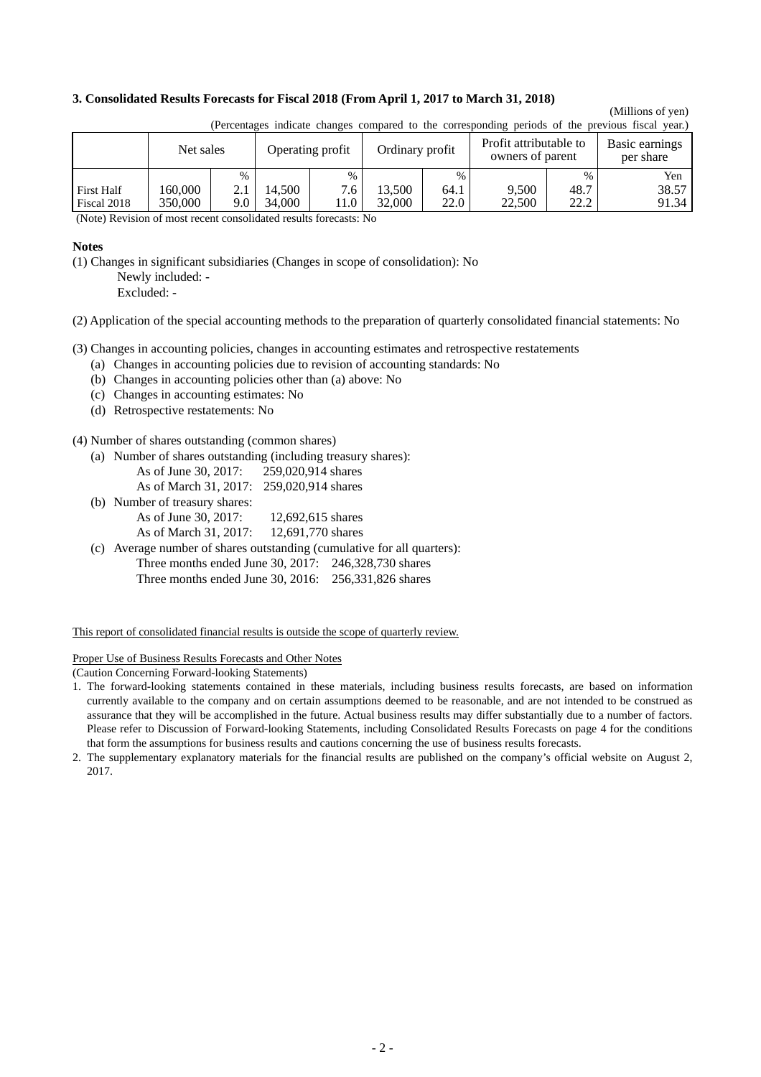#### **3. Consolidated Results Forecasts for Fiscal 2018 (From April 1, 2017 to March 31, 2018)**

## (Millions of yen)

|                                  | $\mu$ encomages marcule enanges compared to the corresponding periods of the previous model year. |      |                  |             |                                            |              |                             |               |                |
|----------------------------------|---------------------------------------------------------------------------------------------------|------|------------------|-------------|--------------------------------------------|--------------|-----------------------------|---------------|----------------|
|                                  | Net sales<br>Operating profit                                                                     |      | Ordinary profit  |             | Profit attributable to<br>owners of parent |              | Basic earnings<br>per share |               |                |
|                                  |                                                                                                   | $\%$ |                  | $\%$        |                                            | $\%$         |                             | $\frac{0}{0}$ | Yen            |
| <b>First Half</b><br>Fiscal 2018 | 160.000<br>350,000                                                                                | 9.0  | 14.500<br>34,000 | 7.6<br>11.0 | 13.500<br>32,000                           | 64.1<br>22.0 | 9.500<br>22,500             | 48.7<br>22.2  | 38.57<br>91.34 |

(Percentages indicate changes compared to the corresponding periods of the previous fiscal year.)

(Note) Revision of most recent consolidated results forecasts: No

#### **Notes**

(1) Changes in significant subsidiaries (Changes in scope of consolidation): No

 Newly included: - Excluded: -

(2) Application of the special accounting methods to the preparation of quarterly consolidated financial statements: No

(3) Changes in accounting policies, changes in accounting estimates and retrospective restatements

- (a) Changes in accounting policies due to revision of accounting standards: No
- (b) Changes in accounting policies other than (a) above: No
- (c) Changes in accounting estimates: No
- (d) Retrospective restatements: No

(4) Number of shares outstanding (common shares)

- (a) Number of shares outstanding (including treasury shares):
	- As of June 30, 2017: 259,020,914 shares
	- As of March 31, 2017: 259,020,914 shares
- (b) Number of treasury shares: As of June 30, 2017: 12,692,615 shares
	- As of March 31, 2017: 12,691,770 shares
- (c) Average number of shares outstanding (cumulative for all quarters): Three months ended June 30, 2017: 246,328,730 shares Three months ended June 30, 2016: 256,331,826 shares

This report of consolidated financial results is outside the scope of quarterly review.

Proper Use of Business Results Forecasts and Other Notes

(Caution Concerning Forward-looking Statements)

- 1. The forward-looking statements contained in these materials, including business results forecasts, are based on information currently available to the company and on certain assumptions deemed to be reasonable, and are not intended to be construed as assurance that they will be accomplished in the future. Actual business results may differ substantially due to a number of factors. Please refer to Discussion of Forward-looking Statements, including Consolidated Results Forecasts on page 4 for the conditions that form the assumptions for business results and cautions concerning the use of business results forecasts.
- 2. The supplementary explanatory materials for the financial results are published on the company's official website on August 2, 2017.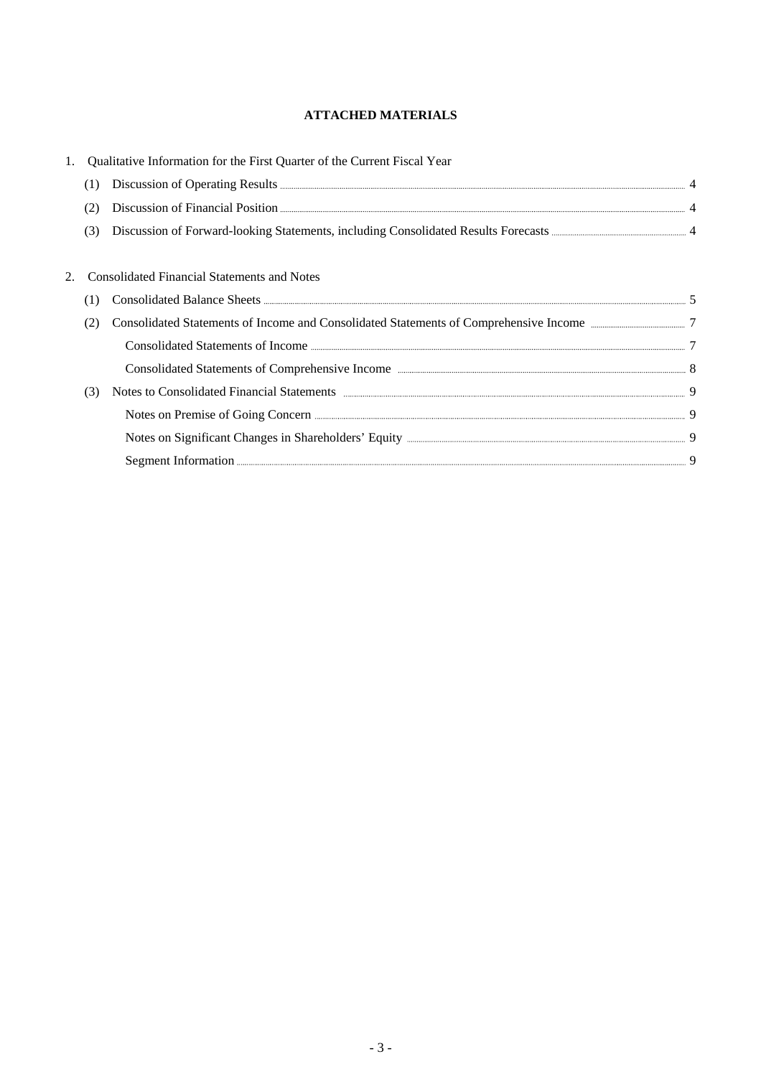## **ATTACHED MATERIALS**

|     | Qualitative Information for the First Quarter of the Current Fiscal Year                                                                                                                                                                      |  |
|-----|-----------------------------------------------------------------------------------------------------------------------------------------------------------------------------------------------------------------------------------------------|--|
| (1) |                                                                                                                                                                                                                                               |  |
|     | Discussion of Financial Position <b>Execution</b> 4                                                                                                                                                                                           |  |
| (3) |                                                                                                                                                                                                                                               |  |
|     |                                                                                                                                                                                                                                               |  |
|     | <b>Consolidated Financial Statements and Notes</b>                                                                                                                                                                                            |  |
| (T) |                                                                                                                                                                                                                                               |  |
| (2) | Consolidated Statements of Income and Consolidated Statements of Comprehensive Income manufacturers 7                                                                                                                                         |  |
|     | Consolidated Statements of Income <b>Exercise 2016</b> 7                                                                                                                                                                                      |  |
|     |                                                                                                                                                                                                                                               |  |
| (3) | Notes to Consolidated Financial Statements <b>Exercise Consolidated</b> Financial Statements <b>Properties According the According Consolidated</b> Financial Statements <b>Properties According the According Consolidated</b> Financial Sta |  |
|     | Notes on Premise of Going Concern <u>Communications</u> of Social Association of the Section of Society of Going Concern Concern Control of Section 2004.                                                                                     |  |
|     |                                                                                                                                                                                                                                               |  |
|     | Segment Information <b>Execution</b> 3                                                                                                                                                                                                        |  |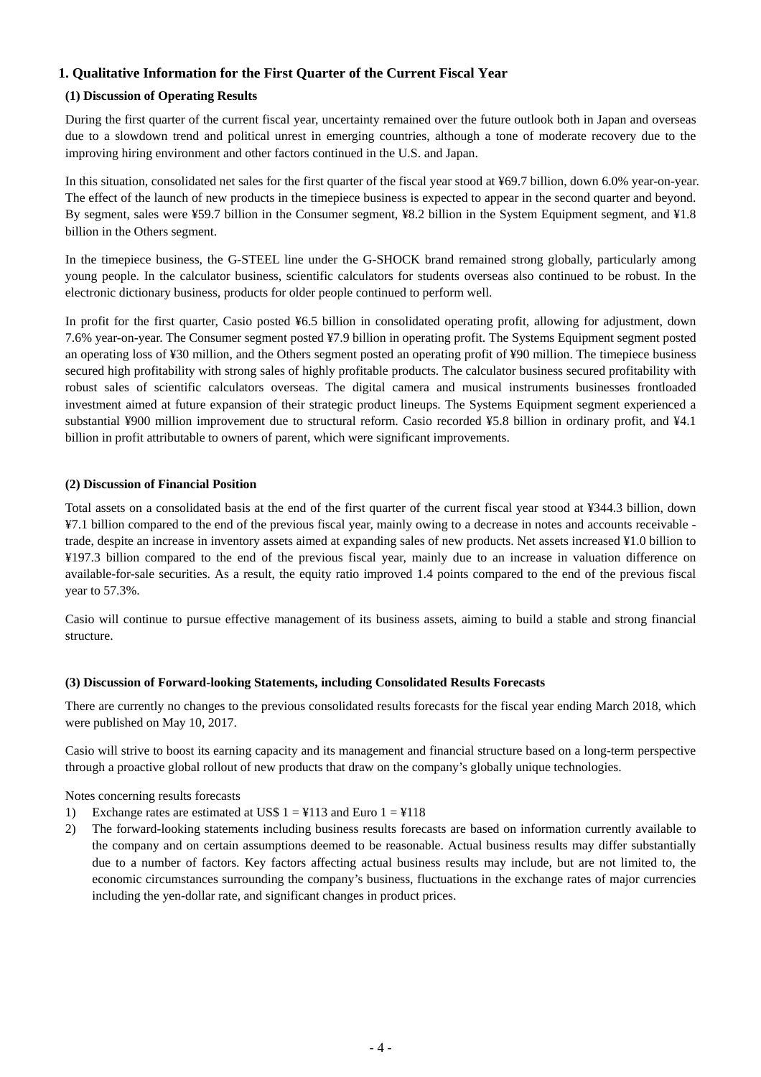### **1. Qualitative Information for the First Quarter of the Current Fiscal Year**

#### **(1) Discussion of Operating Results**

During the first quarter of the current fiscal year, uncertainty remained over the future outlook both in Japan and overseas due to a slowdown trend and political unrest in emerging countries, although a tone of moderate recovery due to the improving hiring environment and other factors continued in the U.S. and Japan.

In this situation, consolidated net sales for the first quarter of the fiscal year stood at ¥69.7 billion, down 6.0% year-on-year. The effect of the launch of new products in the timepiece business is expected to appear in the second quarter and beyond. By segment, sales were ¥59.7 billion in the Consumer segment, ¥8.2 billion in the System Equipment segment, and ¥1.8 billion in the Others segment.

In the timepiece business, the G-STEEL line under the G-SHOCK brand remained strong globally, particularly among young people. In the calculator business, scientific calculators for students overseas also continued to be robust. In the electronic dictionary business, products for older people continued to perform well.

In profit for the first quarter, Casio posted ¥6.5 billion in consolidated operating profit, allowing for adjustment, down 7.6% year-on-year. The Consumer segment posted ¥7.9 billion in operating profit. The Systems Equipment segment posted an operating loss of ¥30 million, and the Others segment posted an operating profit of ¥90 million. The timepiece business secured high profitability with strong sales of highly profitable products. The calculator business secured profitability with robust sales of scientific calculators overseas. The digital camera and musical instruments businesses frontloaded investment aimed at future expansion of their strategic product lineups. The Systems Equipment segment experienced a substantial ¥900 million improvement due to structural reform. Casio recorded ¥5.8 billion in ordinary profit, and ¥4.1 billion in profit attributable to owners of parent, which were significant improvements.

#### **(2) Discussion of Financial Position**

Total assets on a consolidated basis at the end of the first quarter of the current fiscal year stood at ¥344.3 billion, down ¥7.1 billion compared to the end of the previous fiscal year, mainly owing to a decrease in notes and accounts receivable trade, despite an increase in inventory assets aimed at expanding sales of new products. Net assets increased ¥1.0 billion to ¥197.3 billion compared to the end of the previous fiscal year, mainly due to an increase in valuation difference on available-for-sale securities. As a result, the equity ratio improved 1.4 points compared to the end of the previous fiscal year to 57.3%.

Casio will continue to pursue effective management of its business assets, aiming to build a stable and strong financial structure.

#### **(3) Discussion of Forward-looking Statements, including Consolidated Results Forecasts**

There are currently no changes to the previous consolidated results forecasts for the fiscal year ending March 2018, which were published on May 10, 2017.

Casio will strive to boost its earning capacity and its management and financial structure based on a long-term perspective through a proactive global rollout of new products that draw on the company's globally unique technologies.

Notes concerning results forecasts

- 1) Exchange rates are estimated at US\$  $1 = 4113$  and Euro  $1 = 4118$
- 2) The forward-looking statements including business results forecasts are based on information currently available to the company and on certain assumptions deemed to be reasonable. Actual business results may differ substantially due to a number of factors. Key factors affecting actual business results may include, but are not limited to, the economic circumstances surrounding the company's business, fluctuations in the exchange rates of major currencies including the yen-dollar rate, and significant changes in product prices.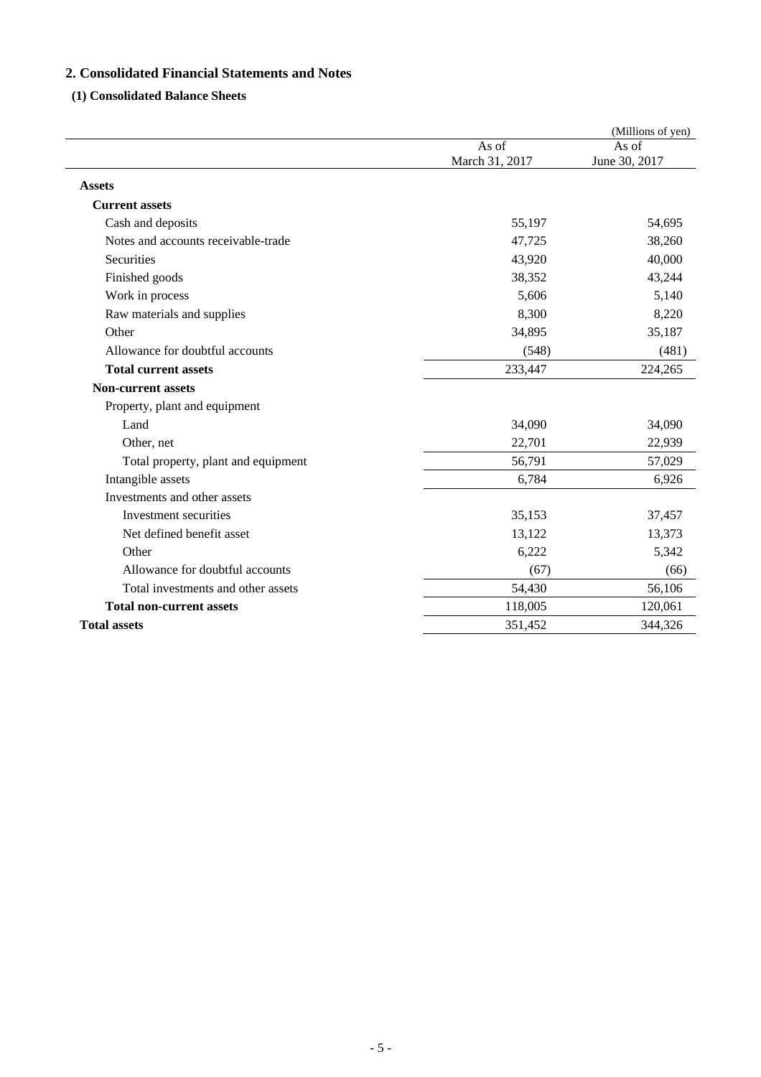## **2. Consolidated Financial Statements and Notes**

## **(1) Consolidated Balance Sheets**

|                                     |                         | (Millions of yen)      |
|-------------------------------------|-------------------------|------------------------|
|                                     | As of<br>March 31, 2017 | As of<br>June 30, 2017 |
| <b>Assets</b>                       |                         |                        |
| <b>Current assets</b>               |                         |                        |
| Cash and deposits                   | 55,197                  | 54,695                 |
| Notes and accounts receivable-trade | 47,725                  | 38,260                 |
| Securities                          | 43,920                  | 40,000                 |
| Finished goods                      | 38,352                  | 43,244                 |
| Work in process                     | 5,606                   | 5,140                  |
| Raw materials and supplies          | 8,300                   | 8,220                  |
| Other                               | 34,895                  | 35,187                 |
| Allowance for doubtful accounts     | (548)                   | (481)                  |
| <b>Total current assets</b>         | 233,447                 | 224,265                |
| <b>Non-current assets</b>           |                         |                        |
| Property, plant and equipment       |                         |                        |
| Land                                | 34,090                  | 34,090                 |
| Other, net                          | 22,701                  | 22,939                 |
| Total property, plant and equipment | 56,791                  | 57,029                 |
| Intangible assets                   | 6,784                   | 6,926                  |
| Investments and other assets        |                         |                        |
| Investment securities               | 35,153                  | 37,457                 |
| Net defined benefit asset           | 13,122                  | 13,373                 |
| Other                               | 6,222                   | 5,342                  |
| Allowance for doubtful accounts     | (67)                    | (66)                   |
| Total investments and other assets  | 54,430                  | 56,106                 |
| <b>Total non-current assets</b>     | 118,005                 | 120,061                |
| <b>Total assets</b>                 | 351,452                 | 344,326                |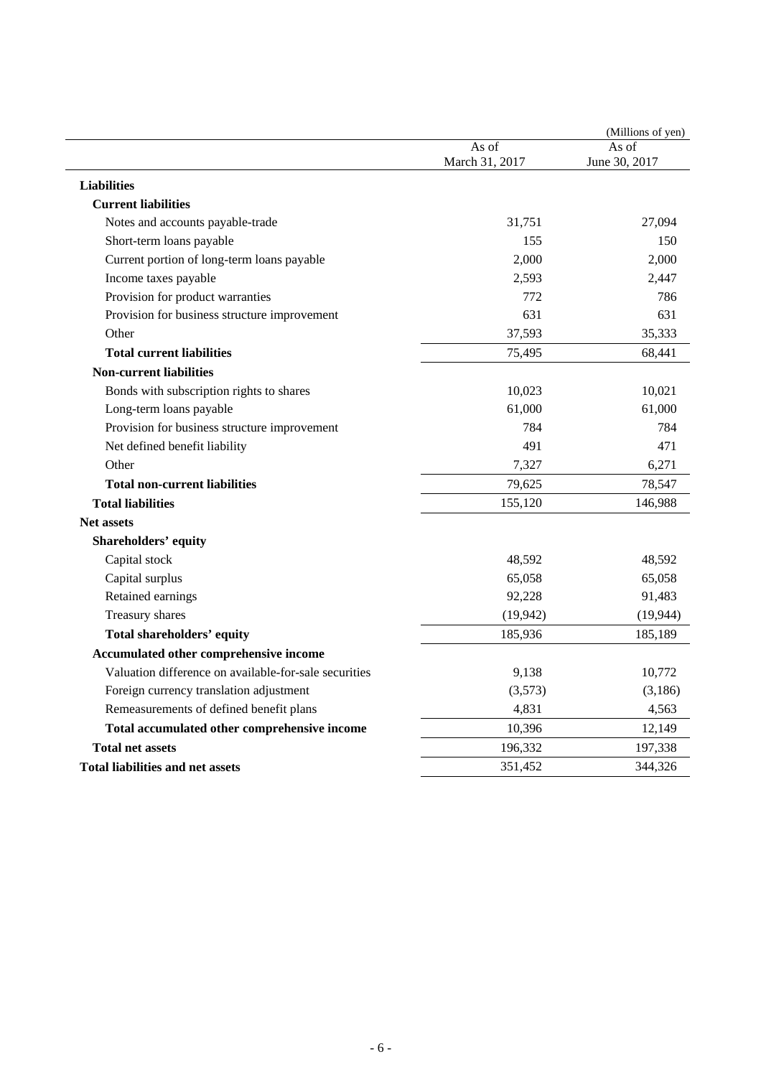|                                                       |                         | (Millions of yen)      |
|-------------------------------------------------------|-------------------------|------------------------|
|                                                       | As of<br>March 31, 2017 | As of<br>June 30, 2017 |
|                                                       |                         |                        |
| <b>Liabilities</b>                                    |                         |                        |
| <b>Current liabilities</b>                            |                         |                        |
| Notes and accounts payable-trade                      | 31,751                  | 27,094                 |
| Short-term loans payable                              | 155                     | 150                    |
| Current portion of long-term loans payable            | 2,000                   | 2,000                  |
| Income taxes payable                                  | 2,593                   | 2,447                  |
| Provision for product warranties                      | 772                     | 786                    |
| Provision for business structure improvement          | 631                     | 631                    |
| Other                                                 | 37,593                  | 35,333                 |
| <b>Total current liabilities</b>                      | 75,495                  | 68,441                 |
| <b>Non-current liabilities</b>                        |                         |                        |
| Bonds with subscription rights to shares              | 10,023                  | 10,021                 |
| Long-term loans payable                               | 61,000                  | 61,000                 |
| Provision for business structure improvement          | 784                     | 784                    |
| Net defined benefit liability                         | 491                     | 471                    |
| Other                                                 | 7,327                   | 6,271                  |
| <b>Total non-current liabilities</b>                  | 79,625                  | 78,547                 |
| <b>Total liabilities</b>                              | 155,120                 | 146,988                |
| <b>Net assets</b>                                     |                         |                        |
| Shareholders' equity                                  |                         |                        |
| Capital stock                                         | 48,592                  | 48,592                 |
| Capital surplus                                       | 65,058                  | 65,058                 |
| Retained earnings                                     | 92,228                  | 91,483                 |
| Treasury shares                                       | (19, 942)               | (19, 944)              |
| <b>Total shareholders' equity</b>                     | 185,936                 | 185,189                |
| Accumulated other comprehensive income                |                         |                        |
| Valuation difference on available-for-sale securities | 9,138                   | 10,772                 |
| Foreign currency translation adjustment               | (3,573)                 | (3,186)                |
| Remeasurements of defined benefit plans               | 4,831                   | 4,563                  |
| Total accumulated other comprehensive income          | 10,396                  | 12,149                 |
| <b>Total net assets</b>                               | 196,332                 | 197,338                |
| Total liabilities and net assets                      | 351,452                 | 344,326                |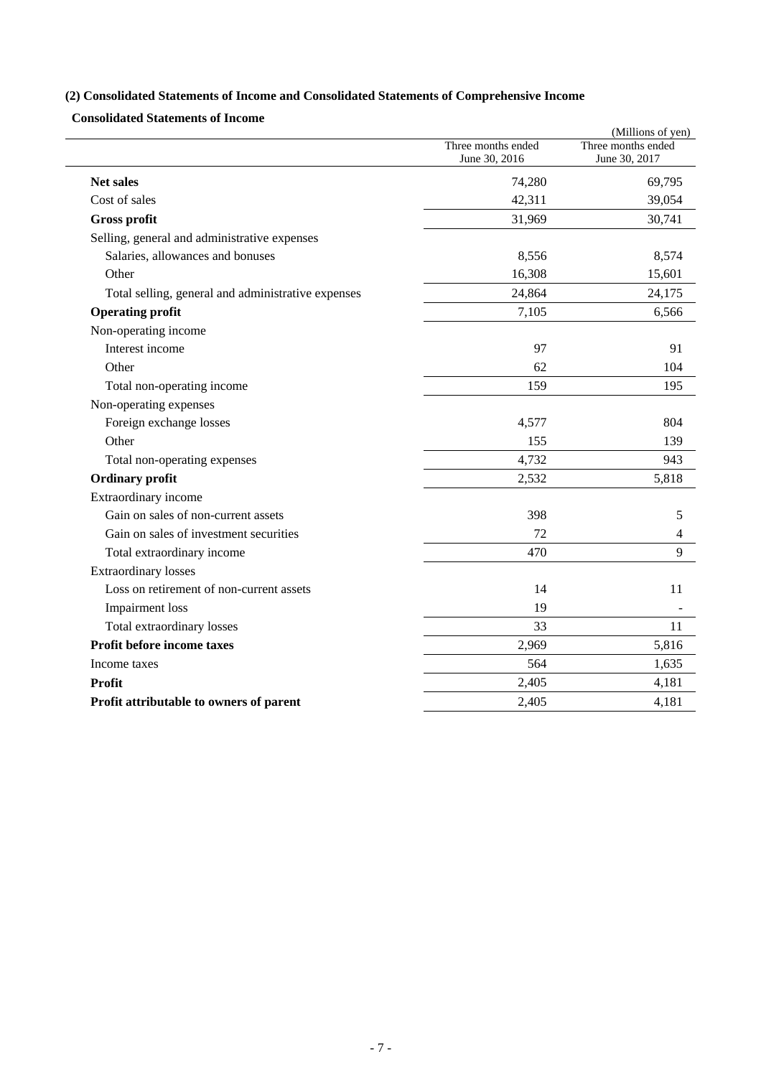## **(2) Consolidated Statements of Income and Consolidated Statements of Comprehensive Income**

**Consolidated Statements of Income** 

|                                                    |                    | (Millions of yen)  |
|----------------------------------------------------|--------------------|--------------------|
|                                                    | Three months ended | Three months ended |
|                                                    | June 30, 2016      | June 30, 2017      |
| <b>Net sales</b>                                   | 74,280             | 69,795             |
| Cost of sales                                      | 42,311             | 39,054             |
| <b>Gross profit</b>                                | 31,969             | 30,741             |
| Selling, general and administrative expenses       |                    |                    |
| Salaries, allowances and bonuses                   | 8,556              | 8,574              |
| Other                                              | 16,308             | 15,601             |
| Total selling, general and administrative expenses | 24,864             | 24,175             |
| <b>Operating profit</b>                            | 7,105              | 6,566              |
| Non-operating income                               |                    |                    |
| Interest income                                    | 97                 | 91                 |
| Other                                              | 62                 | 104                |
| Total non-operating income                         | 159                | 195                |
| Non-operating expenses                             |                    |                    |
| Foreign exchange losses                            | 4,577              | 804                |
| Other                                              | 155                | 139                |
| Total non-operating expenses                       | 4,732              | 943                |
| <b>Ordinary</b> profit                             | 2,532              | 5,818              |
| Extraordinary income                               |                    |                    |
| Gain on sales of non-current assets                | 398                | 5                  |
| Gain on sales of investment securities             | 72                 | 4                  |
| Total extraordinary income                         | 470                | 9                  |
| <b>Extraordinary losses</b>                        |                    |                    |
| Loss on retirement of non-current assets           | 14                 | 11                 |
| Impairment loss                                    | 19                 |                    |
| Total extraordinary losses                         | 33                 | 11                 |
| Profit before income taxes                         | 2,969              | 5,816              |
| Income taxes                                       | 564                | 1,635              |
| <b>Profit</b>                                      | 2,405              | 4,181              |
| Profit attributable to owners of parent            | 2,405              | 4,181              |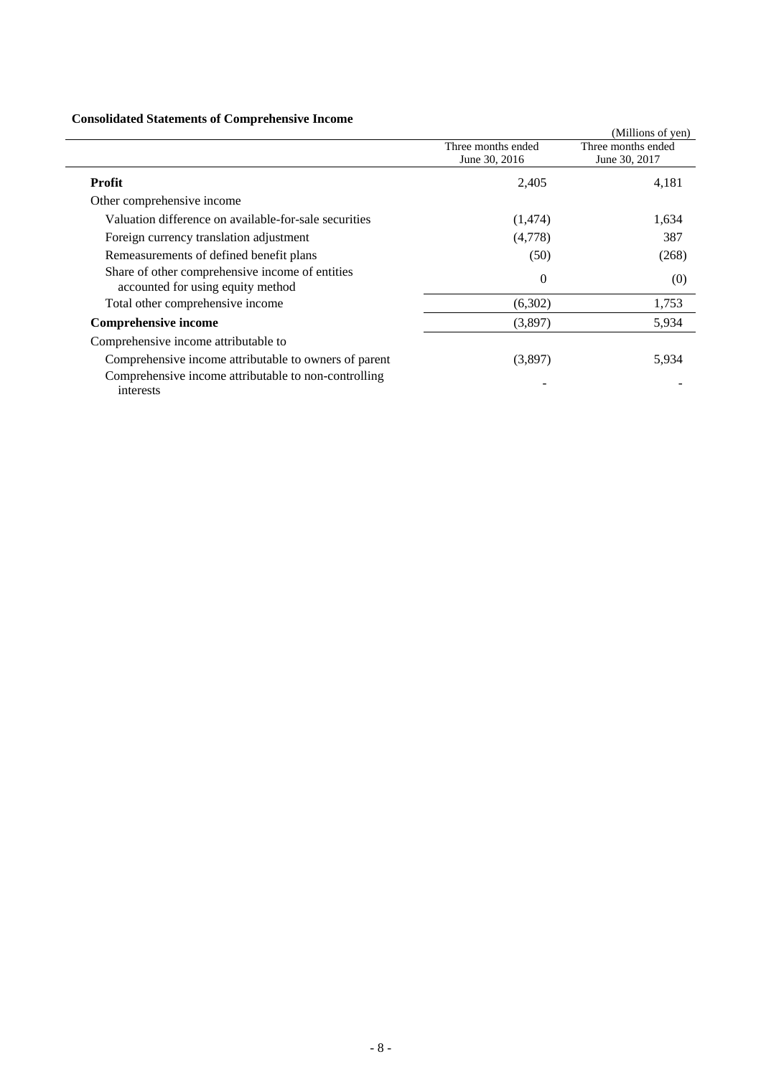### **Consolidated Statements of Comprehensive Income**

| Consolidated Statements of Complements of Income                                     |                                     |                                     |
|--------------------------------------------------------------------------------------|-------------------------------------|-------------------------------------|
|                                                                                      |                                     | (Millions of yen)                   |
|                                                                                      | Three months ended<br>June 30, 2016 | Three months ended<br>June 30, 2017 |
| Profit                                                                               | 2,405                               | 4,181                               |
| Other comprehensive income                                                           |                                     |                                     |
| Valuation difference on available-for-sale securities                                | (1,474)                             | 1,634                               |
| Foreign currency translation adjustment                                              | (4,778)                             | 387                                 |
| Remeasurements of defined benefit plans                                              | (50)                                | (268)                               |
| Share of other comprehensive income of entities<br>accounted for using equity method | $\Omega$                            | (0)                                 |
| Total other comprehensive income                                                     | (6,302)                             | 1,753                               |
| <b>Comprehensive income</b>                                                          | (3,897)                             | 5,934                               |
| Comprehensive income attributable to                                                 |                                     |                                     |
| Comprehensive income attributable to owners of parent                                | (3,897)                             | 5,934                               |
| Comprehensive income attributable to non-controlling<br>interests                    |                                     |                                     |